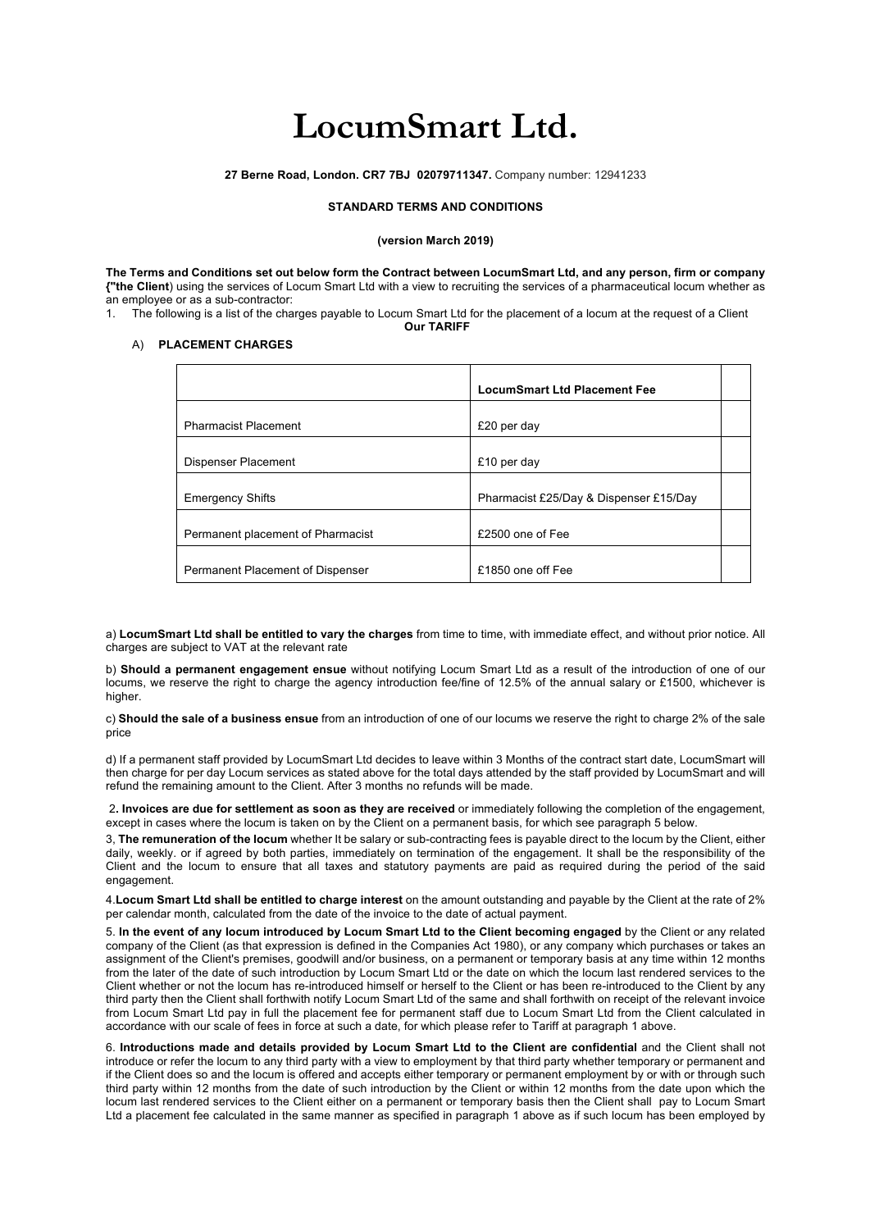# **LocumSmart Ltd.**

**27 Berne Road, London. CR7 7BJ 02079711347.** Company number: 12941233

### **STANDARD TERMS AND CONDITIONS**

#### **(version March 2019)**

**The Terms and Conditions set out below form the Contract between LocumSmart Ltd, and any person, firm or company {"the Client**) using the services of Locum Smart Ltd with a view to recruiting the services of a pharmaceutical locum whether as an employee or as a sub-contractor:

1. The following is a list of the charges payable to Locum Smart Ltd for the placement of a locum at the request of a Client **Our TARIFF**

## A) **PLACEMENT CHARGES**

|                                   | <b>LocumSmart Ltd Placement Fee</b>    |  |
|-----------------------------------|----------------------------------------|--|
| <b>Pharmacist Placement</b>       | £20 per day                            |  |
| Dispenser Placement               | £10 per day                            |  |
| <b>Emergency Shifts</b>           | Pharmacist £25/Day & Dispenser £15/Day |  |
| Permanent placement of Pharmacist | £2500 one of Fee                       |  |
| Permanent Placement of Dispenser  | £1850 one off Fee                      |  |

a) **LocumSmart Ltd shall be entitled to vary the charges** from time to time, with immediate effect, and without prior notice. All charges are subject to VAT at the relevant rate

b) **Should a permanent engagement ensue** without notifying Locum Smart Ltd as a result of the introduction of one of our locums, we reserve the right to charge the agency introduction fee/fine of 12.5% of the annual salary or £1500, whichever is higher.

c) **Should the sale of a business ensue** from an introduction of one of our locums we reserve the right to charge 2% of the sale price

d) If a permanent staff provided by LocumSmart Ltd decides to leave within 3 Months of the contract start date, LocumSmart will then charge for per day Locum services as stated above for the total days attended by the staff provided by LocumSmart and will refund the remaining amount to the Client. After 3 months no refunds will be made.

2**. Invoices are due for settlement as soon as they are received** or immediately following the completion of the engagement, except in cases where the locum is taken on by the Client on a permanent basis, for which see paragraph 5 below.

3, **The remuneration of the locum** whether It be salary or sub-contracting fees is payable direct to the locum by the Client, either daily, weekly. or if agreed by both parties, immediately on termination of the engagement. It shall be the responsibility of the Client and the locum to ensure that all taxes and statutory payments are paid as required during the period of the said engagement.

4.**Locum Smart Ltd shall be entitled to charge interest** on the amount outstanding and payable by the Client at the rate of 2% per calendar month, calculated from the date of the invoice to the date of actual payment.

5. **In the event of any locum introduced by Locum Smart Ltd to the Client becoming engaged** by the Client or any related company of the Client (as that expression is defined in the Companies Act 1980), or any company which purchases or takes an assignment of the Client's premises, goodwill and/or business, on a permanent or temporary basis at any time within 12 months from the later of the date of such introduction by Locum Smart Ltd or the date on which the locum last rendered services to the Client whether or not the locum has re-introduced himself or herself to the Client or has been re-introduced to the Client by any third party then the Client shall forthwith notify Locum Smart Ltd of the same and shall forthwith on receipt of the relevant invoice from Locum Smart Ltd pay in full the placement fee for permanent staff due to Locum Smart Ltd from the Client calculated in accordance with our scale of fees in force at such a date, for which please refer to Tariff at paragraph 1 above.

6. **Introductions made and details provided by Locum Smart Ltd to the Client are confidential** and the Client shall not introduce or refer the locum to any third party with a view to employment by that third party whether temporary or permanent and if the Client does so and the locum is offered and accepts either temporary or permanent employment by or with or through such third party within 12 months from the date of such introduction by the Client or within 12 months from the date upon which the locum last rendered services to the Client either on a permanent or temporary basis then the Client shall pay to Locum Smart Ltd a placement fee calculated in the same manner as specified in paragraph 1 above as if such locum has been employed by